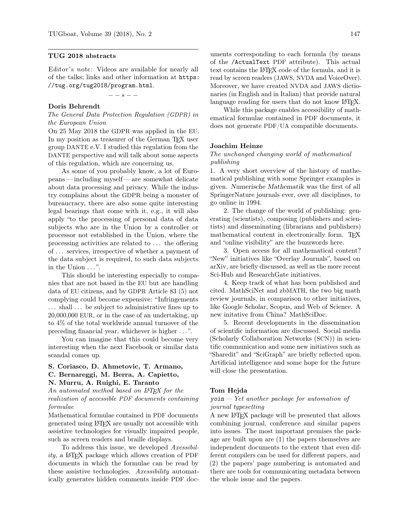## TUG 2018 abstracts

Editor's note: Videos are available for nearly all of the talks; links and other information at [https:](https://tug.org/tug2018/program.html) [//tug.org/tug2018/program.html](https://tug.org/tug2018/program.html).

 $- - * - -$ 

## Doris Behrendt

The General Data Protection Regulation (GDPR) in the European Union

On 25 May 2018 the GDPR was applied in the EU. In my position as treasurer of the German T<sub>E</sub>X user group DANTE e.V. I studied this regulation from the DANTE perspective and will talk about some aspects of this regulation, which are concerning us.

As some of you probably know, a lot of Europeans— including myself— are somewhat delicate about data processing and privacy. While the industry complains about the GDPR being a monster of bureaucracy, there are also some quite interesting legal bearings that come with it, e.g., it will also apply "to the processing of personal data of data subjects who are in the Union by a controller or processor not established in the Union, where the processing activities are related to . . . the offering of . . . services, irrespective of whether a payment of the data subject is required, to such data subjects in the Union ...".

This should be interesting especially to companies that are not based in the EU but are handling data of EU citizens, and by GDPR Article 83 (5) not complying could become expensive: "Infringements . . . shall . . . be subject to administrative fines up to 20,000,000 EUR, or in the case of an undertaking, up to 4% of the total worldwide annual turnover of the preceding financial year, whichever is higher . . . ".

You can imagine that this could become very interesting when the next Facebook or similar data scandal comes up.

#### S. Coriasco, D. Ahmetovic, T. Armano,

# C. Bernareggi, M. Berra, A. Capietto,

## N. Murru, A. Ruighi, E. Taranto

An automated method based on IATFX for the realization of accessible PDF documents containing formulae

Mathematical formulae contained in PDF documents generated using LATEX are usually not accessible with assistive technologies for visually impaired people, such as screen readers and braille displays.

To address this issue, we developed Axessibil $ity$ , a LAT<sub>F</sub>X package which allows creation of PDF documents in which the formulae can be read by these assistive technologies. Axessibility automatically generates hidden comments inside PDF doc-

uments corresponding to each formula (by means of the /ActualText PDF attribute). This actual text contains the L<sup>AT</sup>EX code of the formula, and it is read by screen readers (JAWS, NVDA and VoiceOver). Moreover, we have created NVDA and JAWS dictionaries (in English and in Italian) that provide natural language reading for users that do not know LAT<sub>F</sub>X.

While this package enables accessibility of mathematical formulae contained in PDF documents, it does not generate PDF/UA compatible documents.

#### Joachim Heinze

# The unchanged changing world of mathematical publishing

1. A very short overview of the history of mathematical publishing with some Springer examples is given. Numerische Mathematik was the first of all SpringerNature journals ever, over all disciplines, to go online in 1994.

2. The change of the world of publishing: generating (scientists), composing (publishers and scientists) and disseminating (librarians and publishers) mathematical content in electronically form. TFX and "online visibility" are the buzzwords here.

3. Open access for all mathematical content? "New" initiatives like "Overlay Journals", based on arXiv, are briefly discussed, as well as the more recent Sci-Hub and ResearchGate initiatives.

4. Keep track of what has been published and cited. MathSciNet and zbMATH, the two big math review journals, in comparison to other initiatives, like Google Scholar, Scopus, and Web of Science. A new initative from China? MathSciDoc.

5. Recent developments in the dissemination of scientific information are discussed. Social media (Scholarly Collaboration Networks (SCN)) in scientific communication and some new initiatives such as "Sharedit" and "SciGraph" are briefly reflected upon. Artificial intelligence and some hope for the future will close the presentation.

# Tom Hejda

## $y\text{o}$ in — Yet another package for automation of journal typesetting

A new LATEX package will be presented that allows combining journal, conference and similar papers into issues. The most important premises the package are built upon are (1) the papers themselves are independent documents to the extent that even different compilers can be used for different papers, and (2) the papers' page numbering is automated and there are tools for communicating metadata between the whole issue and the papers.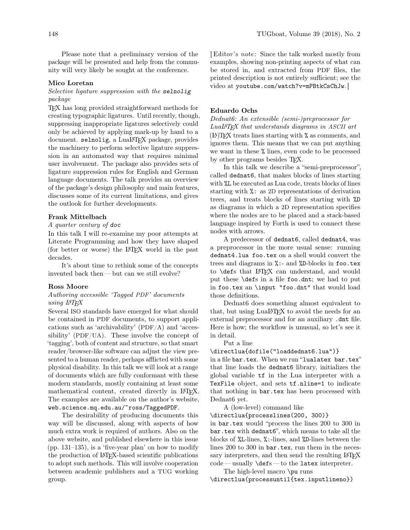Please note that a preliminary version of the package will be presented and help from the community will very likely be sought at the conference.

#### Mico Loretan

# Selective ligature suppression with the selnolig package

TEX has long provided straightforward methods for creating typographic ligatures. Until recently, though, suppressing inappropriate ligatures selectively could only be achieved by applying mark-up by hand to a document. selnolig, a LuaL<sup>AT</sup>FX package, provides the machinery to perform selective ligature suppression in an automated way that requires minimal user involvement. The package also provides sets of ligature suppression rules for English and German language documents. The talk provides an overview of the package's design philosophy and main features, discusses some of its current limitations, and gives the outlook for further developments.

### Frank Mittelbach

# A quarter century of doc

In this talk I will re-examine my poor attempts at Literate Programming and how they have shaped (for better or worse) the LATEX world in the past decades.

It's about time to rethink some of the concepts invented back then— but can we still evolve?

### Ross Moore

# Authoring accessible 'Tagged PDF' documents using LATEX

Several ISO standards have emerged for what should be contained in PDF documents, to support applications such as 'archivability' (PDF/A) and 'accessibility' (PDF/UA). These involve the concept of 'tagging', both of content and structure, so that smart reader/browser-like software can adjust the view presented to a human reader, perhaps afflicted with some physical disability. In this talk we will look at a range of documents which are fully conformant with these modern standards, mostly containing at least some mathematical content, created directly in LAT<sub>EX</sub>. The examples are available on the author's website, <web.science.mq.edu.au/~ross/TaggedPDF>.

The desirability of producing documents this way will be discussed, along with aspects of how much extra work is required of authors. Also on the above website, and published elsewhere in this issue (pp. 131–135), is a 'five-year plan' on how to modify the production of LATEX-based scientific publications to adopt such methods. This will involve cooperation between academic publishers and a TUG working group.

[ Editor's note: Since the talk worked mostly from examples, showing non-printing aspects of what can be stored in, and extracted from PDF files, the printed description is not entirely sufficient; see the video at <youtube.com/watch?v=mPBtkCsChJw>. ]

## Eduardo Ochs

Dednat6: An extensible (semi-)preprocessor for LuaLATEX that understands diagrams in ASCII art (LA)TEX treats lines starting with % as comments, and ignores them. This means that we can put anything we want in these % lines, even code to be processed by other programs besides TEX.

In this talk we describe a "semi-preprocessor", called dednat6, that makes blocks of lines starting with %L be executed as Lua code, treats blocks of lines starting with %: as 2D representations of derivation trees, and treats blocks of lines starting with %D as diagrams in which a 2D representation specifies where the nodes are to be placed and a stack-based language inspired by Forth is used to connect these nodes with arrows.

A predecessor of dednat6, called dednat4, was a preprocessor in the more usual sense: running dednat4.lua foo.tex on a shell would convert the trees and diagrams in %:- and %D-blocks in foo.tex to **\defs** that L<sup>AT</sup>FX can understand, and would put these \defs in a file foo.dnt; we had to put in foo.tex an \input "foo.dnt" that would load those definitions.

Dednat6 does something almost equivalent to that, but using LuaL<sup>AT</sup>EX to avoid the needs for an external preprocessor and for an auxiliary .dnt file. Here is how; the workflow is unusual, so let's see it in detail.

Put a line

#### \directlua{dofile("loaddednat6.lua")}

in a file bar.tex. When we run "lualatex bar.tex" that line loads the dednat6 library, initializes the global variable tf in the Lua interpreter with a TexFile object, and sets tf.nline=1 to indicate that nothing in bar.tex has been processed with Dednat6 yet.

A (low-level) command like

\directlua{processlines(200, 300)}

in bar.tex would "process the lines 200 to 300 in bar.tex with dednat6", which means to take all the blocks of %L-lines, %:-lines, and %D-lines between the lines 200 to 300 in bar.tex, run them in the necessary interpreters, and then send the resulting LAT<sub>EX</sub> code— usually \defs — to the latex interpreter.

The high-level macro \pu runs \directlua(processuntil{tex.inputlineno})